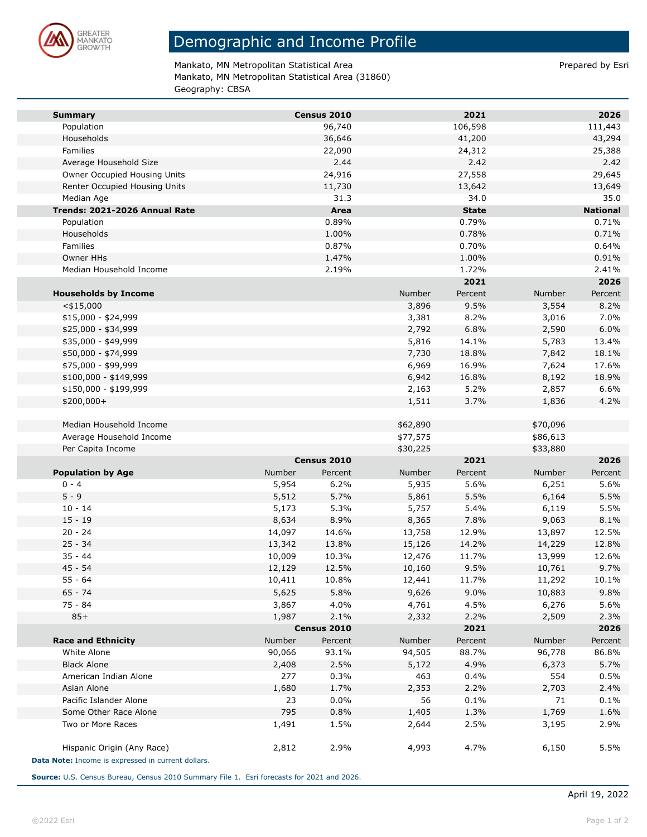

## Demographic and Income Profile

Mankato, MN Metropolitan Statistical Area **Prepared by Esri** Prepared by Esri Mankato, MN Metropolitan Statistical Area (31860) Geography: CBSA

|                               |        |                |          | 2021           |               | 2026            |
|-------------------------------|--------|----------------|----------|----------------|---------------|-----------------|
| <b>Summary</b>                |        | Census 2010    |          |                |               | 111,443         |
| Population                    |        | 96,740         |          | 106,598        |               |                 |
| Households                    |        | 36,646         |          | 41,200         |               | 43,294          |
| Families                      |        | 22,090<br>2.44 |          | 24,312<br>2.42 |               | 25,388<br>2.42  |
| Average Household Size        |        |                |          |                |               |                 |
| Owner Occupied Housing Units  |        | 24,916         |          | 27,558         |               | 29,645          |
| Renter Occupied Housing Units |        | 11,730         |          | 13,642         |               | 13,649          |
| Median Age                    |        | 31.3           |          | 34.0           |               | 35.0            |
| Trends: 2021-2026 Annual Rate |        | Area           |          | <b>State</b>   |               | <b>National</b> |
| Population                    |        | 0.89%          |          | 0.79%          |               | 0.71%           |
| Households                    |        | 1.00%          |          | 0.78%          |               | 0.71%           |
| Families                      |        | 0.87%          |          | 0.70%          |               | 0.64%           |
| Owner HHs                     |        | 1.47%          |          | 1.00%          |               | 0.91%           |
| Median Household Income       |        | 2.19%          |          | 1.72%          |               | 2.41%           |
|                               |        |                |          | 2021           |               | 2026            |
| <b>Households by Income</b>   |        |                | Number   | Percent        | <b>Number</b> | Percent         |
| $<$ \$15,000                  |        |                | 3,896    | 9.5%           | 3,554         | 8.2%            |
| $$15,000 - $24,999$           |        |                | 3,381    | 8.2%           | 3,016         | 7.0%            |
| \$25,000 - \$34,999           |        |                | 2,792    | 6.8%           | 2,590         | 6.0%            |
| \$35,000 - \$49,999           |        |                | 5,816    | 14.1%          | 5,783         | 13.4%           |
| \$50,000 - \$74,999           |        |                | 7,730    | 18.8%          | 7,842         | 18.1%           |
| \$75,000 - \$99,999           |        |                | 6,969    | 16.9%          | 7,624         | 17.6%           |
| $$100,000 - $149,999$         |        |                | 6,942    | 16.8%          | 8,192         | 18.9%           |
| \$150,000 - \$199,999         |        |                | 2,163    | 5.2%           | 2,857         | 6.6%            |
| \$200,000+                    |        |                | 1,511    | 3.7%           | 1,836         | 4.2%            |
|                               |        |                |          |                |               |                 |
| Median Household Income       |        |                | \$62,890 |                | \$70,096      |                 |
| Average Household Income      |        |                | \$77,575 |                | \$86,613      |                 |
| Per Capita Income             |        |                | \$30,225 |                | \$33,880      |                 |
|                               |        | Census 2010    |          | 2021           |               | 2026            |
| <b>Population by Age</b>      | Number | Percent        | Number   | Percent        | Number        | Percent         |
| $0 - 4$                       | 5,954  | 6.2%           | 5,935    | 5.6%           | 6,251         | 5.6%            |
| $5 - 9$                       | 5,512  | 5.7%           | 5,861    | 5.5%           | 6,164         | 5.5%            |
| $10 - 14$                     | 5,173  | 5.3%           | 5,757    | 5.4%           | 6,119         | 5.5%            |
| $15 - 19$                     | 8,634  | 8.9%           | 8,365    | 7.8%           | 9,063         | 8.1%            |
| $20 - 24$                     | 14,097 | 14.6%          | 13,758   | 12.9%          | 13,897        | 12.5%           |
| $25 - 34$                     | 13,342 | 13.8%          | 15,126   | 14.2%          | 14,229        | 12.8%           |
| $35 - 44$                     | 10,009 | 10.3%          | 12,476   | 11.7%          | 13,999        | 12.6%           |
| $45 - 54$                     | 12,129 | 12.5%          | 10,160   | 9.5%           | 10,761        | 9.7%            |
| 55 - 64                       | 10,411 | 10.8%          | 12,441   | 11.7%          | 11,292        | 10.1%           |
| $65 - 74$                     | 5,625  | 5.8%           | 9,626    | 9.0%           | 10,883        | 9.8%            |
| 75 - 84                       | 3,867  | 4.0%           | 4,761    | 4.5%           | 6,276         | 5.6%            |
| $85+$                         | 1,987  | 2.1%           | 2,332    | 2.2%           | 2,509         | 2.3%            |
|                               |        | Census 2010    |          | 2021           |               | 2026            |
| <b>Race and Ethnicity</b>     | Number | Percent        | Number   | Percent        | Number        | Percent         |
| White Alone                   | 90,066 | 93.1%          | 94,505   | 88.7%          | 96,778        | 86.8%           |
| <b>Black Alone</b>            | 2,408  | 2.5%           | 5,172    | 4.9%           | 6,373         | 5.7%            |
| American Indian Alone         | 277    | 0.3%           | 463      | 0.4%           | 554           | 0.5%            |
| Asian Alone                   | 1,680  | 1.7%           | 2,353    | 2.2%           | 2,703         | 2.4%            |
| Pacific Islander Alone        | 23     | 0.0%           | 56       | 0.1%           | 71            | 0.1%            |
|                               |        | 0.8%           | 1,405    | 1.3%           | 1,769         | 1.6%            |
| Some Other Race Alone         | 795    |                |          |                |               |                 |
| Two or More Races             |        | 1.5%           |          | 2.5%           |               | 2.9%            |
|                               | 1,491  |                | 2,644    |                | 3,195         |                 |
| Hispanic Origin (Any Race)    | 2,812  | 2.9%           | 4,993    | 4.7%           | 6,150         | 5.5%            |

**Source:** U.S. Census Bureau, Census 2010 Summary File 1. Esri forecasts for 2021 and 2026.